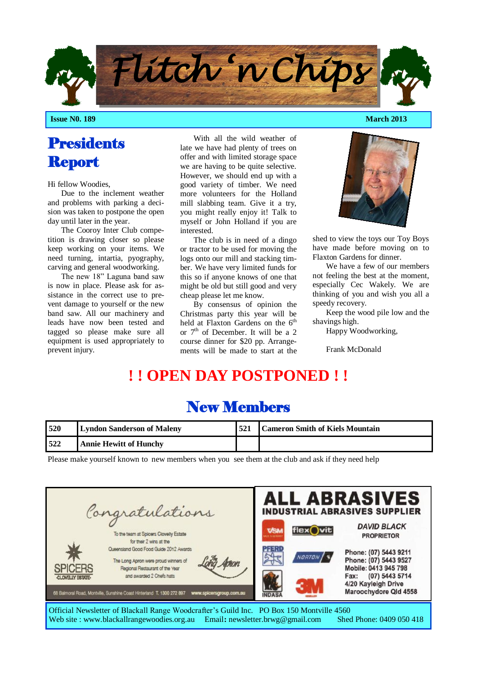

**Issue N0. 189 March 2013**

# **Presidents** Report

Hi fellow Woodies,

Due to the inclement weather and problems with parking a decision was taken to postpone the open day until later in the year.

The Cooroy Inter Club competition is drawing closer so please keep working on your items. We need turning, intartia, pyography, carving and general woodworking.

The new 18" Laguna band saw is now in place. Please ask for assistance in the correct use to prevent damage to yourself or the new band saw. All our machinery and leads have now been tested and tagged so please make sure all equipment is used appropriately to prevent injury.

With all the wild weather of late we have had plenty of trees on offer and with limited storage space we are having to be quite selective. However, we should end up with a good variety of timber. We need more volunteers for the Holland mill slabbing team. Give it a try, you might really enjoy it! Talk to myself or John Holland if you are interested.

The club is in need of a dingo or tractor to be used for moving the logs onto our mill and stacking timber. We have very limited funds for this so if anyone knows of one that might be old but still good and very cheap please let me know.

By consensus of opinion the Christmas party this year will be held at Flaxton Gardens on the 6<sup>th</sup> or 7<sup>th</sup> of December. It will be a 2 course dinner for \$20 pp. Arrangements will be made to start at the



shed to view the toys our Toy Boys have made before moving on to Flaxton Gardens for dinner.

We have a few of our members not feeling the best at the moment, especially Cec Wakely. We are thinking of you and wish you all a speedy recovery.

Keep the wood pile low and the shavings high.

Happy Woodworking,

Frank McDonald

# **! ! OPEN DAY POSTPONED ! !**

| 520 | <b>Lyndon Sanderson of Maleny</b> | <b>Cameron Smith of Kiels Mountain</b> |
|-----|-----------------------------------|----------------------------------------|
| 522 | <b>Annie Hewitt of Hunchy</b>     |                                        |

New Members

Please make yourself known to new members when you see them at the club and ask if they need help

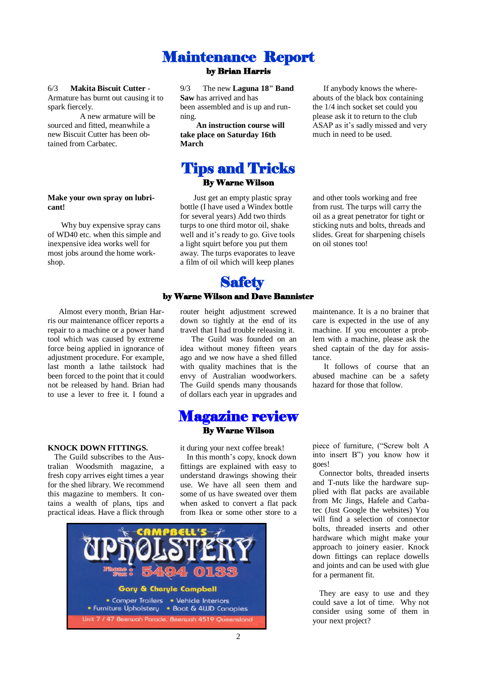#### Maintenance Report by Brian Harris

#### 6/3 **Makita Biscuit Cutter** -

Armature has burnt out causing it to spark fiercely.

A new armature will be sourced and fitted, meanwhile a new Biscuit Cutter has been obtained from Carbatec.

#### **Make your own spray on lubricant!**

Why buy expensive spray cans of WD40 etc. when this simple and inexpensive idea works well for most jobs around the home workshop.

Almost every month, Brian Harris our maintenance officer reports a repair to a machine or a power hand tool which was caused by extreme force being applied in ignorance of adjustment procedure. For example, last month a lathe tailstock had been forced to the point that it could not be released by hand. Brian had to use a lever to free it. I found a

#### **KNOCK DOWN FITTINGS.**

The Guild subscribes to the Australian Woodsmith magazine, a fresh copy arrives eight times a year for the shed library. We recommend this magazine to members. It contains a wealth of plans, tips and practical ideas. Have a flick through 9/3 The new **Laguna 18" Band Saw** has arrived and has been assembled and is up and running.

**An instruction course will take place on Saturday 16th March**

#### Tips and Tricks By Warne Wilson

Just get an empty plastic spray bottle (I have used a Windex bottle for several years) Add two thirds turps to one third motor oil, shake well and it's ready to go. Give tools a light squirt before you put them away. The turps evaporates to leave a film of oil which will keep planes

#### **Safety** by Warne Wilson and Dave Bannister

router height adjustment screwed down so tightly at the end of its travel that I had trouble releasing it.

The Guild was founded on an idea without money fifteen years ago and we now have a shed filled with quality machines that is the envy of Australian woodworkers. The Guild spends many thousands of dollars each year in upgrades and

#### Magazine review By Warne Wilson

it during your next coffee break!

In this month's copy, knock down fittings are explained with easy to understand drawings showing their use. We have all seen them and some of us have sweated over them when asked to convert a flat pack from Ikea or some other store to a



If anybody knows the whereabouts of the black box containing the 1/4 inch socket set could you please ask it to return to the club ASAP as it's sadly missed and very much in need to be used.

and other tools working and free from rust. The turps will carry the oil as a great penetrator for tight or sticking nuts and bolts, threads and slides. Great for sharpening chisels on oil stones too!

maintenance. It is a no brainer that care is expected in the use of any machine. If you encounter a problem with a machine, please ask the shed captain of the day for assistance.

It follows of course that an abused machine can be a safety hazard for those that follow.

piece of furniture, ("Screw bolt A into insert B") you know how it goes!

Connector bolts, threaded inserts and T-nuts like the hardware supplied with flat packs are available from Mc Jings, Hafele and Carbatec (Just Google the websites) You will find a selection of connector bolts, threaded inserts and other hardware which might make your approach to joinery easier. Knock down fittings can replace dowells and joints and can be used with glue for a permanent fit.

They are easy to use and they could save a lot of time. Why not consider using some of them in your next project?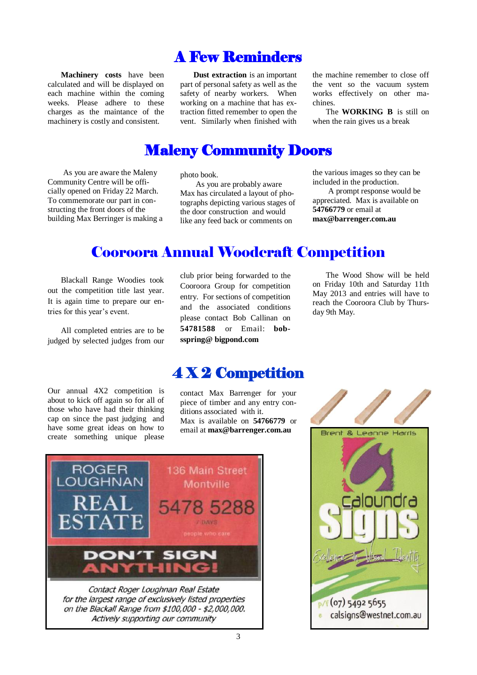# A Few Reminders

**Machinery costs** have been calculated and will be displayed on each machine within the coming weeks. Please adhere to these charges as the maintance of the machinery is costly and consistent.

**Dust extraction** is an important part of personal safety as well as the safety of nearby workers. When working on a machine that has extraction fitted remember to open the vent. Similarly when finished with

the machine remember to close off the vent so the vacuum system works effectively on other machines.

The **WORKING B** is still on when the rain gives us a break

### Maleny Community Doors

As you are aware the Maleny Community Centre will be officially opened on Friday 22 March. To commemorate our part in constructing the front doors of the building Max Berringer is making a

photo book.

As you are probably aware Max has circulated a layout of photographs depicting various stages of the door construction and would like any feed back or comments on

the various images so they can be included in the production.

A prompt response would be appreciated. Max is available on **54766779** or email at **max@barrenger.com.au**

# Cooroora Annual Woodcraft Competition

Blackall Range Woodies took out the competition title last year. It is again time to prepare our entries for this year's event.

All completed entries are to be judged by selected judges from our

Our annual 4X2 competition is about to kick off again so for all of those who have had their thinking cap on since the past judging and have some great ideas on how to create something unique please club prior being forwarded to the Cooroora Group for competition entry. For sections of competition and the associated conditions please contact Bob Callinan on **54781588** or Email: **bobsspring@ bigpond.com**

The Wood Show will be held on Friday 10th and Saturday 11th May 2013 and entries will have to reach the Cooroora Club by Thursday 9th May.

### 4 X 2 Competition

contact Max Barrenger for your piece of timber and any entry conditions associated with it. Max is available on **54766779** or email at **max@barrenger.com.au**



on the Blackall Range from \$100,000 - \$2,000,000. Actively supporting our community

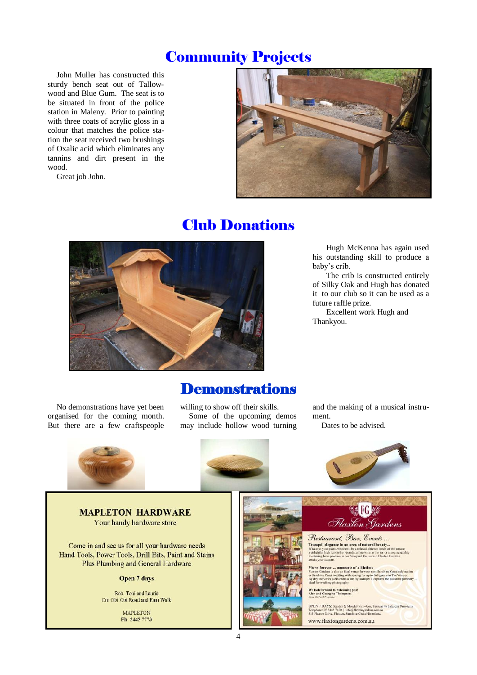## Community Projects

John Muller has constructed this sturdy bench seat out of Tallowwood and Blue Gum. The seat is to be situated in front of the police station in Maleny. Prior to painting with three coats of acrylic gloss in a colour that matches the police station the seat received two brushings of Oxalic acid which eliminates any tannins and dirt present in the wood.

Great job John.



### Club Donations



Hugh McKenna has again used his outstanding skill to produce a baby's crib.

The crib is constructed entirely of Silky Oak and Hugh has donated it to our club so it can be used as a future raffle prize.

Excellent work Hugh and Thankyou.

No demonstrations have yet been organised for the coming month. But there are a few craftspeople

**Demonstrations** 

willing to show off their skills. Some of the upcoming demos may include hollow wood turning

and the making of a musical instrument.

Dates to be advised.



**MAPLETON HARDWARE** Your handy hardware store

Come in and see us for all your hardware needs Hand Tools, Power Tools, Drill Bits, Paint and Stains Plus Plumbing and General Hardware

Open 7 days

Rob, Toni and Laurie Cnr Obi Obi Road and Emu Walk

> **MAPLETON** Ph 5445 7773





Flaxton Gardens

Restaurant, Bar, Events... **Tranquil elegance in an area of natural beauty...**<br>Whatever your plans, whether it be a relaxed alfresco lunch on a delightful light cas on the verands, a fine wine in the bar or explansion food using local produce in our

ments of a lifetime lews forever ... m

OPEN 7 DAYS: Sunday & Monday 9a<br>Telephone: 07 5445 7450 | info@flaxto<br>313 Flaxton Drive, Flaxton, Sunshine Co www.flaxtongardens.com.au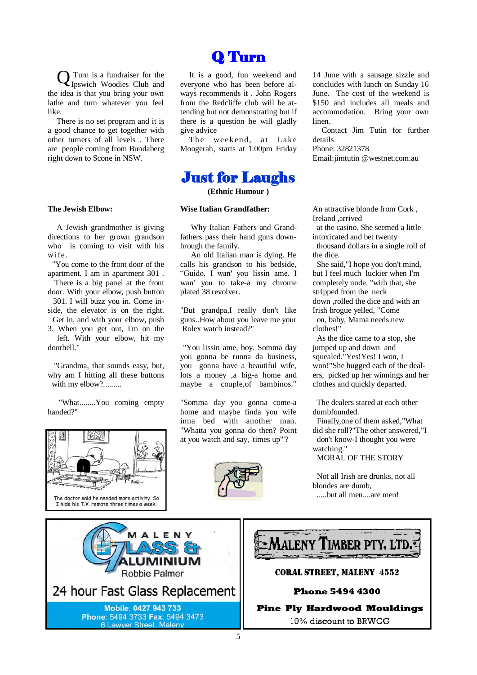Q Turn is a fundraiser for the Ipswich Woodies Club and the idea is that you bring your own lathe and turn whatever you feel like.

There is no set program and it is a good chance to get together with other turners of all levels . There are people coming from Bundaberg right down to Scone in NSW.

#### **The Jewish Elbow:**

A Jewish grandmother is giving directions to her grown grandson who is coming to visit with his wi fe.

 "You come to the front door of the apartment. I am in apartment 301 .

 There is a big panel at the front door. With your elbow, push button 301. I will buzz you in. Come inside, the elevator is on the right. Get in, and with your elbow, push 3. When you get out, I'm on the left. With your elbow, hit my doorbell."

 "Grandma, that sounds easy, but, why am I hitting all these buttons with my elbow?.........

 "What........You coming empty handed?"





It is a good, fun weekend and everyone who has been before always recommends it . John Rogers from the Redcliffe club will be attending but not demonstrating but if there is a question he will gladly give advice

The weekend, at Lake Moogerah, starts at 1.00pm Friday

#### Just for Laughs

**(Ethnic Humour )**

#### **Wise Italian Grandfather:**

Why Italian Fathers and Grandfathers pass their hand guns downhrough the family.

An old Italian man is dying. He calls his grandson to his bedside, "Guido, I wan' you lissin ame. I wan' you to take-a my chrome plated 38 revolver.

"But grandpa,I really don't like guns..How about you leave me your Rolex watch instead?"

"You lissin ame, boy. Somma day you gonna be runna da business, you gonna have a beautiful wife, lots a money ,a big-a home and maybe a couple,of bambinos."

"Somma day you gonna come-a home and maybe finda you wife inna bed with another man. "Whatta you gonna do then? Point at you watch and say, 'times up'"?



14 June with a sausage sizzle and concludes with lunch on Sunday 16 June. The cost of the weekend is \$150 and includes all meals and accommodation. Bring your own linen.

Contact Jim Tutin for further details Phone: 32821378

Email:jimtutin @westnet.com.au

An attractive blonde from Cork , Ireland ,arrived

 at the casino. She seemed a little intoxicated and bet twenty

 thousand dollars in a single roll of the dice.

 She said,"I hope you don't mind, but I feel much luckier when I'm completely nude. "with that, she stripped from the neck down ,rolled the dice and with an Irish brogue yelled, "Come

 on, baby, Mama needs new clothes!"

 As the dice came to a stop, she jumped up and down and squealed."Yes!Yes! I won, I won!"She hugged each of the dealers, picked up her winnings and her clothes and quickly departed.

 The dealers stared at each other dumbfounded.

 Finally,one of them asked,"What did she roll?"The other answered,"I don't know-I thought you were watching."

MORAL OF THE STORY

 Not all Irish are drunks, not all blondes are dumb, .....but all men....are men!

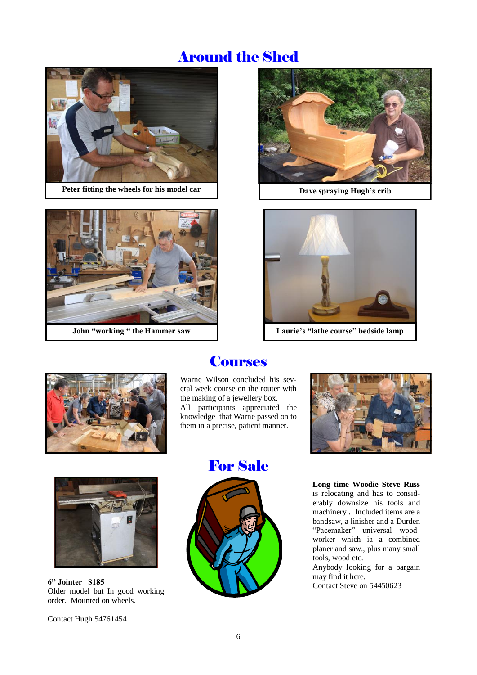# Around the Shed



**Peter fitting the wheels for his model car Dave spraying Hugh's crib** 



**John "working " the Hammer saw**





**Laurie's "lathe course" bedside lamp**



#### **Courses**

Warne Wilson concluded his several week course on the router with the making of a jewellery box. All participants appreciated the knowledge that Warne passed on to them in a precise, patient manner.





**6" Jointer \$185** Older model but In good working order. Mounted on wheels.

Contact Hugh 54761454





**Long time Woodie Steve Russ**  is relocating and has to considerably downsize his tools and machinery . Included items are a bandsaw, a linisher and a Durden "Pacemaker" universal woodworker which ia a combined planer and saw., plus many small tools, wood etc.

Anybody looking for a bargain may find it here.

Contact Steve on 54450623